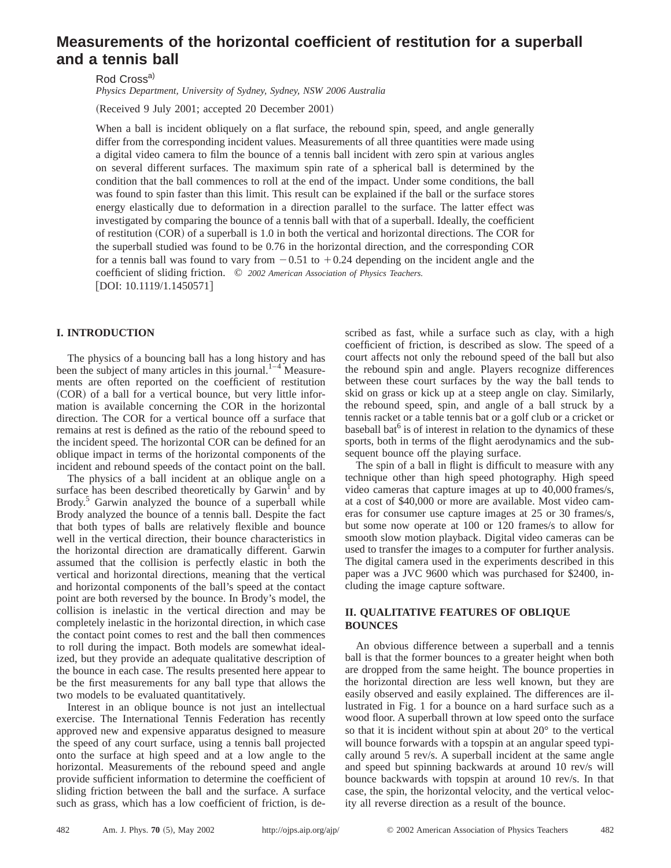# **Measurements of the horizontal coefficient of restitution for a superball and a tennis ball**

Rod Cross<sup>a)</sup>

*Physics Department, University of Sydney, Sydney, NSW 2006 Australia*

(Received 9 July 2001; accepted 20 December 2001)

When a ball is incident obliquely on a flat surface, the rebound spin, speed, and angle generally differ from the corresponding incident values. Measurements of all three quantities were made using a digital video camera to film the bounce of a tennis ball incident with zero spin at various angles on several different surfaces. The maximum spin rate of a spherical ball is determined by the condition that the ball commences to roll at the end of the impact. Under some conditions, the ball was found to spin faster than this limit. This result can be explained if the ball or the surface stores energy elastically due to deformation in a direction parallel to the surface. The latter effect was investigated by comparing the bounce of a tennis ball with that of a superball. Ideally, the coefficient of restitution  $(COR)$  of a superball is 1.0 in both the vertical and horizontal directions. The COR for the superball studied was found to be 0.76 in the horizontal direction, and the corresponding COR for a tennis ball was found to vary from  $-0.51$  to  $+0.24$  depending on the incident angle and the coefficient of sliding friction. © *2002 American Association of Physics Teachers.*  $[DOI: 10.1119/1.1450571]$ 

# **I. INTRODUCTION**

The physics of a bouncing ball has a long history and has been the subject of many articles in this journal.<sup>1–4</sup> Measurements are often reported on the coefficient of restitution (COR) of a ball for a vertical bounce, but very little information is available concerning the COR in the horizontal direction. The COR for a vertical bounce off a surface that remains at rest is defined as the ratio of the rebound speed to the incident speed. The horizontal COR can be defined for an oblique impact in terms of the horizontal components of the incident and rebound speeds of the contact point on the ball.

The physics of a ball incident at an oblique angle on a surface has been described theoretically by  $\Gamma$  and by Brody.<sup>5</sup> Garwin analyzed the bounce of a superball while Brody analyzed the bounce of a tennis ball. Despite the fact that both types of balls are relatively flexible and bounce well in the vertical direction, their bounce characteristics in the horizontal direction are dramatically different. Garwin assumed that the collision is perfectly elastic in both the vertical and horizontal directions, meaning that the vertical and horizontal components of the ball's speed at the contact point are both reversed by the bounce. In Brody's model, the collision is inelastic in the vertical direction and may be completely inelastic in the horizontal direction, in which case the contact point comes to rest and the ball then commences to roll during the impact. Both models are somewhat idealized, but they provide an adequate qualitative description of the bounce in each case. The results presented here appear to be the first measurements for any ball type that allows the two models to be evaluated quantitatively.

Interest in an oblique bounce is not just an intellectual exercise. The International Tennis Federation has recently approved new and expensive apparatus designed to measure the speed of any court surface, using a tennis ball projected onto the surface at high speed and at a low angle to the horizontal. Measurements of the rebound speed and angle provide sufficient information to determine the coefficient of sliding friction between the ball and the surface. A surface such as grass, which has a low coefficient of friction, is described as fast, while a surface such as clay, with a high coefficient of friction, is described as slow. The speed of a court affects not only the rebound speed of the ball but also the rebound spin and angle. Players recognize differences between these court surfaces by the way the ball tends to skid on grass or kick up at a steep angle on clay. Similarly, the rebound speed, spin, and angle of a ball struck by a tennis racket or a table tennis bat or a golf club or a cricket or baseball bat $<sup>6</sup>$  is of interest in relation to the dynamics of these</sup> sports, both in terms of the flight aerodynamics and the subsequent bounce off the playing surface.

The spin of a ball in flight is difficult to measure with any technique other than high speed photography. High speed video cameras that capture images at up to 40,000 frames/s, at a cost of \$40,000 or more are available. Most video cameras for consumer use capture images at 25 or 30 frames/s, but some now operate at 100 or 120 frames/s to allow for smooth slow motion playback. Digital video cameras can be used to transfer the images to a computer for further analysis. The digital camera used in the experiments described in this paper was a JVC 9600 which was purchased for \$2400, including the image capture software.

# **II. QUALITATIVE FEATURES OF OBLIQUE BOUNCES**

An obvious difference between a superball and a tennis ball is that the former bounces to a greater height when both are dropped from the same height. The bounce properties in the horizontal direction are less well known, but they are easily observed and easily explained. The differences are illustrated in Fig. 1 for a bounce on a hard surface such as a wood floor. A superball thrown at low speed onto the surface so that it is incident without spin at about 20° to the vertical will bounce forwards with a topspin at an angular speed typically around 5 rev/s. A superball incident at the same angle and speed but spinning backwards at around 10 rev/s will bounce backwards with topspin at around 10 rev/s. In that case, the spin, the horizontal velocity, and the vertical velocity all reverse direction as a result of the bounce.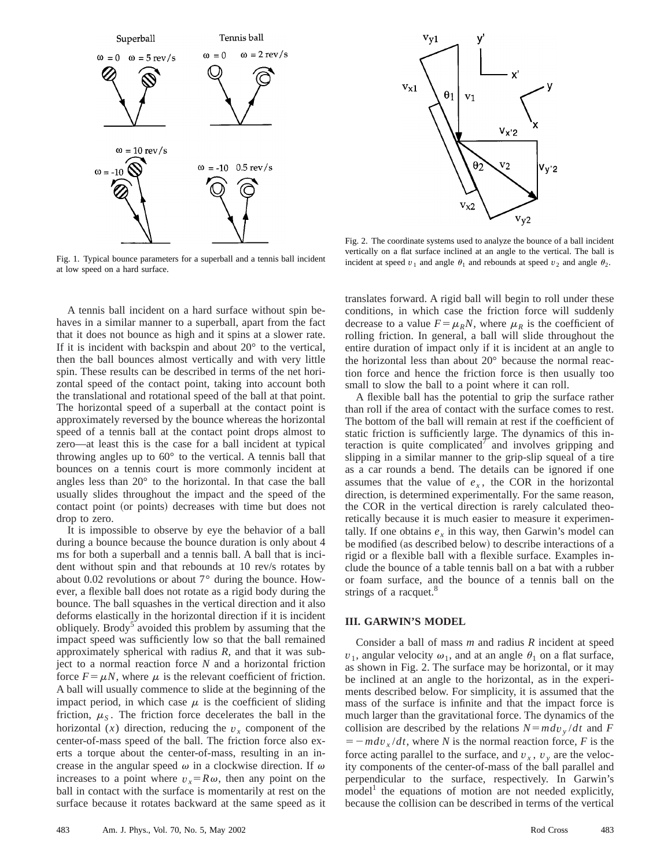

Fig. 1. Typical bounce parameters for a superball and a tennis ball incident at low speed on a hard surface.

A tennis ball incident on a hard surface without spin behaves in a similar manner to a superball, apart from the fact that it does not bounce as high and it spins at a slower rate. If it is incident with backspin and about 20° to the vertical, then the ball bounces almost vertically and with very little spin. These results can be described in terms of the net horizontal speed of the contact point, taking into account both the translational and rotational speed of the ball at that point. The horizontal speed of a superball at the contact point is approximately reversed by the bounce whereas the horizontal speed of a tennis ball at the contact point drops almost to zero—at least this is the case for a ball incident at typical throwing angles up to 60° to the vertical. A tennis ball that bounces on a tennis court is more commonly incident at angles less than 20° to the horizontal. In that case the ball usually slides throughout the impact and the speed of the contact point (or points) decreases with time but does not drop to zero.

It is impossible to observe by eye the behavior of a ball during a bounce because the bounce duration is only about 4 ms for both a superball and a tennis ball. A ball that is incident without spin and that rebounds at 10 rev/s rotates by about 0.02 revolutions or about 7° during the bounce. However, a flexible ball does not rotate as a rigid body during the bounce. The ball squashes in the vertical direction and it also deforms elastically in the horizontal direction if it is incident obliquely. Brody<sup>5</sup> avoided this problem by assuming that the impact speed was sufficiently low so that the ball remained approximately spherical with radius *R*, and that it was subject to a normal reaction force *N* and a horizontal friction force  $F = \mu N$ , where  $\mu$  is the relevant coefficient of friction. A ball will usually commence to slide at the beginning of the impact period, in which case  $\mu$  is the coefficient of sliding friction,  $\mu<sub>S</sub>$ . The friction force decelerates the ball in the horizontal  $(x)$  direction, reducing the  $v<sub>x</sub>$  component of the center-of-mass speed of the ball. The friction force also exerts a torque about the center-of-mass, resulting in an increase in the angular speed  $\omega$  in a clockwise direction. If  $\omega$ increases to a point where  $v_x = R\omega$ , then any point on the ball in contact with the surface is momentarily at rest on the surface because it rotates backward at the same speed as it



Fig. 2. The coordinate systems used to analyze the bounce of a ball incident vertically on a flat surface inclined at an angle to the vertical. The ball is incident at speed  $v_1$  and angle  $\theta_1$  and rebounds at speed  $v_2$  and angle  $\theta_2$ .

translates forward. A rigid ball will begin to roll under these conditions, in which case the friction force will suddenly decrease to a value  $F = \mu_R N$ , where  $\mu_R$  is the coefficient of rolling friction. In general, a ball will slide throughout the entire duration of impact only if it is incident at an angle to the horizontal less than about 20° because the normal reaction force and hence the friction force is then usually too small to slow the ball to a point where it can roll.

A flexible ball has the potential to grip the surface rather than roll if the area of contact with the surface comes to rest. The bottom of the ball will remain at rest if the coefficient of static friction is sufficiently large. The dynamics of this interaction is quite complicated<sup> $\tau$ </sup> and involves gripping and slipping in a similar manner to the grip-slip squeal of a tire as a car rounds a bend. The details can be ignored if one assumes that the value of  $e<sub>x</sub>$ , the COR in the horizontal direction, is determined experimentally. For the same reason, the COR in the vertical direction is rarely calculated theoretically because it is much easier to measure it experimentally. If one obtains  $e_x$  in this way, then Garwin's model can be modified (as described below) to describe interactions of a rigid or a flexible ball with a flexible surface. Examples include the bounce of a table tennis ball on a bat with a rubber or foam surface, and the bounce of a tennis ball on the strings of a racquet.<sup>8</sup>

# **III. GARWIN'S MODEL**

Consider a ball of mass *m* and radius *R* incident at speed  $v_1$ , angular velocity  $\omega_1$ , and at an angle  $\theta_1$  on a flat surface, as shown in Fig. 2. The surface may be horizontal, or it may be inclined at an angle to the horizontal, as in the experiments described below. For simplicity, it is assumed that the mass of the surface is infinite and that the impact force is much larger than the gravitational force. The dynamics of the collision are described by the relations  $N = mdv_y/dt$  and F  $=$  -  $mdv_x/dt$ , where *N* is the normal reaction force, *F* is the force acting parallel to the surface, and  $v_x$ ,  $v_y$  are the velocity components of the center-of-mass of the ball parallel and perpendicular to the surface, respectively. In Garwin's model<sup>1</sup> the equations of motion are not needed explicitly, because the collision can be described in terms of the vertical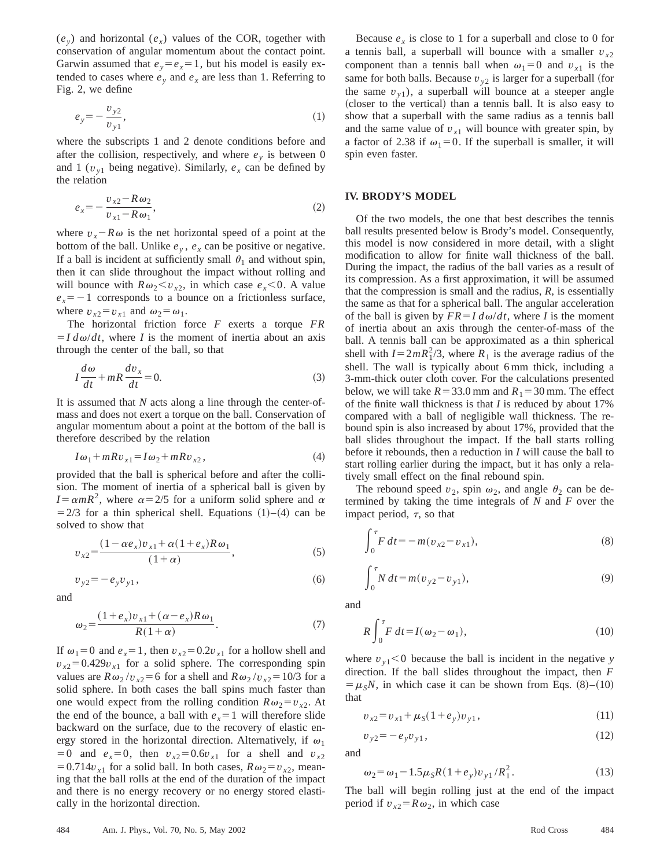$(e_y)$  and horizontal  $(e_x)$  values of the COR, together with conservation of angular momentum about the contact point. Garwin assumed that  $e_y = e_x = 1$ , but his model is easily extended to cases where  $e_y$  and  $e_x$  are less than 1. Referring to Fig. 2, we define

$$
e_y = -\frac{v_{y2}}{v_{y1}},\tag{1}
$$

where the subscripts 1 and 2 denote conditions before and after the collision, respectively, and where  $e_y$  is between 0 and 1 ( $v_{v1}$  being negative). Similarly,  $e_x$  can be defined by the relation

$$
e_x = -\frac{v_{x2} - R\omega_2}{v_{x1} - R\omega_1},\tag{2}
$$

where  $v_x - R\omega$  is the net horizontal speed of a point at the bottom of the ball. Unlike  $e_y$ ,  $e_x$  can be positive or negative. If a ball is incident at sufficiently small  $\theta_1$  and without spin, then it can slide throughout the impact without rolling and will bounce with  $R\omega_2 \le v_{x2}$ , in which case  $e_x \le 0$ . A value  $e_x = -1$  corresponds to a bounce on a frictionless surface, where  $v_{x2} = v_{x1}$  and  $\omega_2 = \omega_1$ .

The horizontal friction force *F* exerts a torque *FR*  $= I d\omega/dt$ , where *I* is the moment of inertia about an axis through the center of the ball, so that

$$
I\frac{d\omega}{dt} + mR\frac{dv_x}{dt} = 0.
$$
 (3)

It is assumed that *N* acts along a line through the center-ofmass and does not exert a torque on the ball. Conservation of angular momentum about a point at the bottom of the ball is therefore described by the relation

$$
I\omega_1 + mRv_{x1} = I\omega_2 + mRv_{x2},\tag{4}
$$

provided that the ball is spherical before and after the collision. The moment of inertia of a spherical ball is given by  $I = \alpha mR^2$ , where  $\alpha = 2/5$  for a uniform solid sphere and  $\alpha$  $=2/3$  for a thin spherical shell. Equations  $(1)-(4)$  can be solved to show that

$$
v_{x2} = \frac{(1 - \alpha e_x)v_{x1} + \alpha(1 + e_x)R\omega_1}{(1 + \alpha)},
$$
\n(5)

$$
v_{y2} = -e_y v_{y1},\tag{6}
$$

and

$$
\omega_2 = \frac{(1+e_x)v_{x1} + (\alpha - e_x)R\omega_1}{R(1+\alpha)}.
$$
\n(7)

If  $\omega_1=0$  and  $e_x=1$ , then  $v_{x2}=0.2v_{x1}$  for a hollow shell and  $v_{x2} = 0.429v_{x1}$  for a solid sphere. The corresponding spin values are  $R\omega_2/v_{x2} = 6$  for a shell and  $R\omega_2/v_{x2} = 10/3$  for a solid sphere. In both cases the ball spins much faster than one would expect from the rolling condition  $R\omega_2 = v_{x2}$ . At the end of the bounce, a ball with  $e_x = 1$  will therefore slide backward on the surface, due to the recovery of elastic energy stored in the horizontal direction. Alternatively, if  $\omega_1$  $=0$  and  $e_x=0$ , then  $v_{x2}=0.6v_{x1}$  for a shell and  $v_{x2}$  $=0.714v_{x1}$  for a solid ball. In both cases,  $R\omega_2 = v_{x2}$ , meaning that the ball rolls at the end of the duration of the impact and there is no energy recovery or no energy stored elastically in the horizontal direction.

Because  $e_x$  is close to 1 for a superball and close to 0 for a tennis ball, a superball will bounce with a smaller  $v_{x2}$ component than a tennis ball when  $\omega_1=0$  and  $v_{x1}$  is the same for both balls. Because  $v_{v2}$  is larger for a superball (for the same  $v_{y1}$ , a superball will bounce at a steeper angle (closer to the vertical) than a tennis ball. It is also easy to show that a superball with the same radius as a tennis ball and the same value of  $v_{x1}$  will bounce with greater spin, by a factor of 2.38 if  $\omega_1=0$ . If the superball is smaller, it will spin even faster.

### **IV. BRODY'S MODEL**

Of the two models, the one that best describes the tennis ball results presented below is Brody's model. Consequently, this model is now considered in more detail, with a slight modification to allow for finite wall thickness of the ball. During the impact, the radius of the ball varies as a result of its compression. As a first approximation, it will be assumed that the compression is small and the radius, *R*, is essentially the same as that for a spherical ball. The angular acceleration of the ball is given by  $FR = I d\omega/dt$ , where *I* is the moment of inertia about an axis through the center-of-mass of the ball. A tennis ball can be approximated as a thin spherical shell with  $I = 2mR_1^2/3$ , where  $R_1$  is the average radius of the shell. The wall is typically about 6 mm thick, including a 3-mm-thick outer cloth cover. For the calculations presented below, we will take  $R = 33.0$  mm and  $R_1 = 30$  mm. The effect of the finite wall thickness is that *I* is reduced by about 17% compared with a ball of negligible wall thickness. The rebound spin is also increased by about 17%, provided that the ball slides throughout the impact. If the ball starts rolling before it rebounds, then a reduction in *I* will cause the ball to start rolling earlier during the impact, but it has only a relatively small effect on the final rebound spin.

The rebound speed  $v_2$ , spin  $\omega_2$ , and angle  $\theta_2$  can be determined by taking the time integrals of *N* and *F* over the impact period,  $\tau$ , so that

$$
\int_0^{\tau} F dt = -m(v_{x2} - v_{x1}),
$$
\n(8)

$$
\int_0^\tau N \, dt = m(v_{y2} - v_{y1}),\tag{9}
$$

and

$$
R\int_0^{\tau} F dt = I(\omega_2 - \omega_1), \qquad (10)
$$

where  $v_{y1}$ <0 because the ball is incident in the negative *y* direction. If the ball slides throughout the impact, then *F*  $=\mu_s N$ , in which case it can be shown from Eqs.  $(8)$ – $(10)$ that

$$
v_{x2} = v_{x1} + \mu_S (1 + e_y) v_{y1}, \tag{11}
$$

$$
v_{y2} = -e_y v_{y1},\tag{12}
$$

and

$$
\omega_2 = \omega_1 - 1.5\mu_S R (1 + e_y) v_{y1} / R_1^2. \tag{13}
$$

The ball will begin rolling just at the end of the impact period if  $v_{x2} = R\omega_2$ , in which case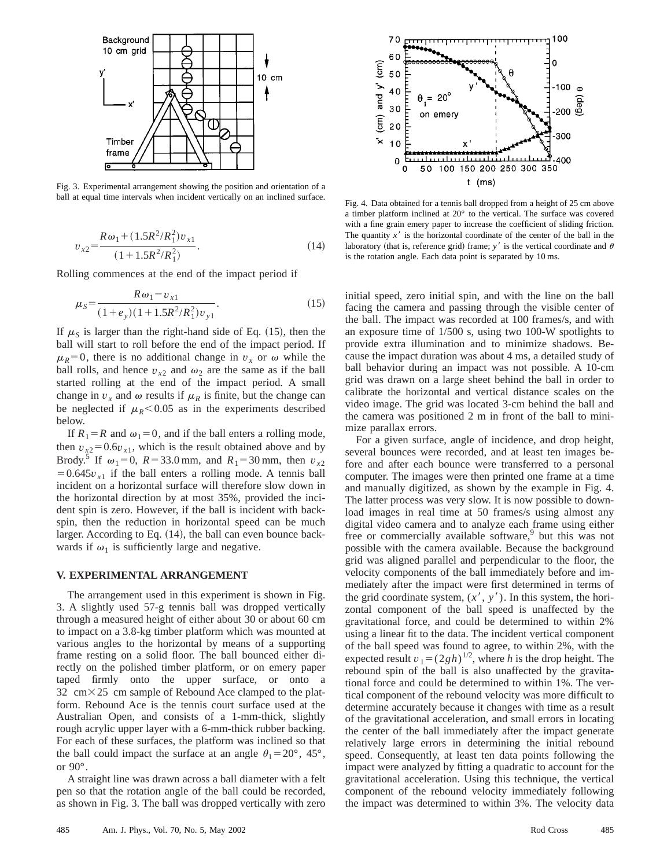

Fig. 3. Experimental arrangement showing the position and orientation of a ball at equal time intervals when incident vertically on an inclined surface.<br>Fig. 4. Data obtained for a tennis ball dropped from a height of 25 cm above

$$
v_{x2} = \frac{R\omega_1 + (1.5R^2/R_1^2)v_{x1}}{(1+1.5R^2/R_1^2)}.
$$
\n(14)

Rolling commences at the end of the impact period if

$$
\mu_S = \frac{R\omega_1 - v_{x1}}{(1 + e_y)(1 + 1.5R^2/R_1^2)v_{y1}}.\tag{15}
$$

If  $\mu<sub>S</sub>$  is larger than the right-hand side of Eq. (15), then the ball will start to roll before the end of the impact period. If  $\mu_R=0$ , there is no additional change in  $v_x$  or  $\omega$  while the ball rolls, and hence  $v_{x2}$  and  $\omega_2$  are the same as if the ball started rolling at the end of the impact period. A small change in  $v_x$  and  $\omega$  results if  $\mu_R$  is finite, but the change can be neglected if  $\mu_R < 0.05$  as in the experiments described below.

If  $R_1 = R$  and  $\omega_1 = 0$ , and if the ball enters a rolling mode, then  $v_{x2} = 0.6v_{x1}$ , which is the result obtained above and by Brody.<sup>5</sup> If  $\omega_1 = 0$ ,  $R = 33.0$  mm, and  $R_1 = 30$  mm, then  $v_{x2}$  $=0.645v_{r1}$  if the ball enters a rolling mode. A tennis ball incident on a horizontal surface will therefore slow down in the horizontal direction by at most 35%, provided the incident spin is zero. However, if the ball is incident with backspin, then the reduction in horizontal speed can be much larger. According to Eq.  $(14)$ , the ball can even bounce backwards if  $\omega_1$  is sufficiently large and negative.

# **V. EXPERIMENTAL ARRANGEMENT**

The arrangement used in this experiment is shown in Fig. 3. A slightly used 57-g tennis ball was dropped vertically through a measured height of either about 30 or about 60 cm to impact on a 3.8-kg timber platform which was mounted at various angles to the horizontal by means of a supporting frame resting on a solid floor. The ball bounced either directly on the polished timber platform, or on emery paper taped firmly onto the upper surface, or onto a  $32 \text{ cm} \times 25 \text{ cm}$  sample of Rebound Ace clamped to the platform. Rebound Ace is the tennis court surface used at the Australian Open, and consists of a 1-mm-thick, slightly rough acrylic upper layer with a 6-mm-thick rubber backing. For each of these surfaces, the platform was inclined so that the ball could impact the surface at an angle  $\theta_1 = 20^\circ$ , 45°, or 90°.

A straight line was drawn across a ball diameter with a felt pen so that the rotation angle of the ball could be recorded, as shown in Fig. 3. The ball was dropped vertically with zero



a timber platform inclined at 20° to the vertical. The surface was covered with a fine grain emery paper to increase the coefficient of sliding friction. The quantity  $x<sup>3</sup>$  is the horizontal coordinate of the center of the ball in the laboratory (that is, reference grid) frame;  $y'$  is the vertical coordinate and  $\theta$ is the rotation angle. Each data point is separated by 10 ms.

initial speed, zero initial spin, and with the line on the ball facing the camera and passing through the visible center of the ball. The impact was recorded at 100 frames/s, and with an exposure time of 1/500 s, using two 100-W spotlights to provide extra illumination and to minimize shadows. Because the impact duration was about 4 ms, a detailed study of ball behavior during an impact was not possible. A 10-cm grid was drawn on a large sheet behind the ball in order to calibrate the horizontal and vertical distance scales on the video image. The grid was located 3-cm behind the ball and the camera was positioned 2 m in front of the ball to minimize parallax errors.

For a given surface, angle of incidence, and drop height, several bounces were recorded, and at least ten images before and after each bounce were transferred to a personal computer. The images were then printed one frame at a time and manually digitized, as shown by the example in Fig. 4. The latter process was very slow. It is now possible to download images in real time at 50 frames/s using almost any digital video camera and to analyze each frame using either free or commercially available software,<sup>9</sup> but this was not possible with the camera available. Because the background grid was aligned parallel and perpendicular to the floor, the velocity components of the ball immediately before and immediately after the impact were first determined in terms of the grid coordinate system,  $(x', y')$ . In this system, the horizontal component of the ball speed is unaffected by the gravitational force, and could be determined to within 2% using a linear fit to the data. The incident vertical component of the ball speed was found to agree, to within 2%, with the expected result  $v_1 = (2gh)^{1/2}$ , where *h* is the drop height. The rebound spin of the ball is also unaffected by the gravitational force and could be determined to within 1%. The vertical component of the rebound velocity was more difficult to determine accurately because it changes with time as a result of the gravitational acceleration, and small errors in locating the center of the ball immediately after the impact generate relatively large errors in determining the initial rebound speed. Consequently, at least ten data points following the impact were analyzed by fitting a quadratic to account for the gravitational acceleration. Using this technique, the vertical component of the rebound velocity immediately following the impact was determined to within 3%. The velocity data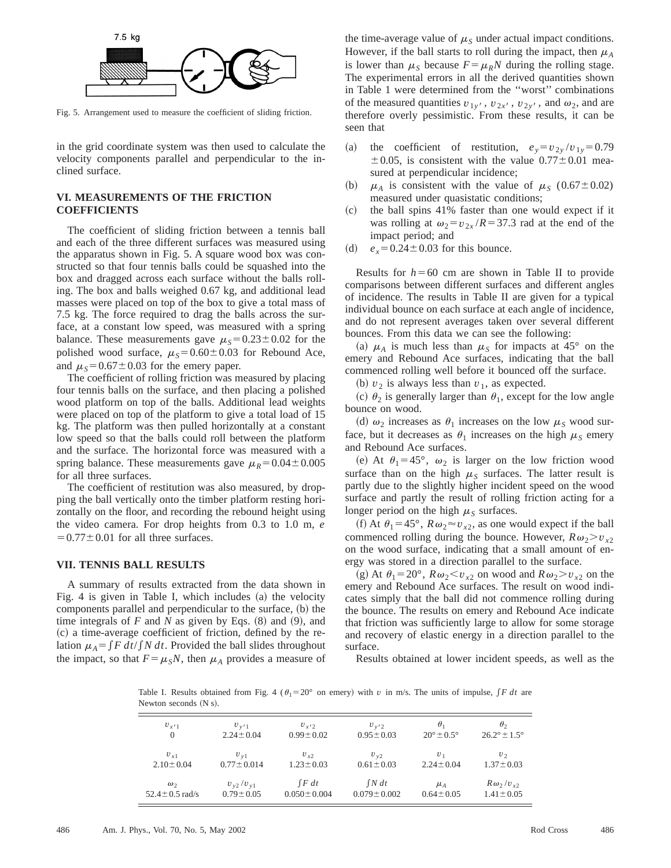

Fig. 5. Arrangement used to measure the coefficient of sliding friction.

in the grid coordinate system was then used to calculate the velocity components parallel and perpendicular to the inclined surface.

# **VI. MEASUREMENTS OF THE FRICTION COEFFICIENTS**

The coefficient of sliding friction between a tennis ball and each of the three different surfaces was measured using the apparatus shown in Fig. 5. A square wood box was constructed so that four tennis balls could be squashed into the box and dragged across each surface without the balls rolling. The box and balls weighed 0.67 kg, and additional lead masses were placed on top of the box to give a total mass of 7.5 kg. The force required to drag the balls across the surface, at a constant low speed, was measured with a spring balance. These measurements gave  $\mu$ <sub>S</sub>=0.23±0.02 for the polished wood surface,  $\mu$ <sub>S</sub>=0.60±0.03 for Rebound Ace, and  $\mu$ <sub>S</sub> = 0.67 $\pm$ 0.03 for the emery paper.

The coefficient of rolling friction was measured by placing four tennis balls on the surface, and then placing a polished wood platform on top of the balls. Additional lead weights were placed on top of the platform to give a total load of 15 kg. The platform was then pulled horizontally at a constant low speed so that the balls could roll between the platform and the surface. The horizontal force was measured with a spring balance. These measurements gave  $\mu_R = 0.04 \pm 0.005$ for all three surfaces.

The coefficient of restitution was also measured, by dropping the ball vertically onto the timber platform resting horizontally on the floor, and recording the rebound height using the video camera. For drop heights from 0.3 to 1.0 m, *e*  $=0.77\pm0.01$  for all three surfaces.

#### **VII. TENNIS BALL RESULTS**

A summary of results extracted from the data shown in Fig. 4 is given in Table I, which includes  $(a)$  the velocity components parallel and perpendicular to the surface, (b) the time integrals of  $F$  and  $N$  as given by Eqs.  $(8)$  and  $(9)$ , and ~c! a time-average coefficient of friction, defined by the relation  $\mu_A = \int F \, dt / \int N \, dt$ . Provided the ball slides throughout the impact, so that  $F = \mu_S N$ , then  $\mu_A$  provides a measure of the time-average value of  $\mu<sub>S</sub>$  under actual impact conditions. However, if the ball starts to roll during the impact, then  $\mu_A$ is lower than  $\mu<sub>S</sub>$  because  $F = \mu<sub>R</sub>N$  during the rolling stage. The experimental errors in all the derived quantities shown in Table 1 were determined from the ''worst'' combinations of the measured quantities  $v_{1y}$ ,  $v_{2x}$ ,  $v_{2y}$ , and  $\omega_2$ , and are therefore overly pessimistic. From these results, it can be seen that

- (a) the coefficient of restitution,  $e_y = v_{2y}/v_{1y} = 0.79$  $\pm 0.05$ , is consistent with the value  $0.77\pm0.01$  measured at perpendicular incidence;
- (b)  $\mu_A$  is consistent with the value of  $\mu_S$  (0.67±0.02) measured under quasistatic conditions;
- $(c)$  the ball spins 41% faster than one would expect if it was rolling at  $\omega_2 = v_{2x}/R = 37.3$  rad at the end of the impact period; and
- (d)  $e_x = 0.24 \pm 0.03$  for this bounce.

Results for  $h = 60$  cm are shown in Table II to provide comparisons between different surfaces and different angles of incidence. The results in Table II are given for a typical individual bounce on each surface at each angle of incidence, and do not represent averages taken over several different bounces. From this data we can see the following:

(a)  $\mu_A$  is much less than  $\mu_S$  for impacts at 45° on the emery and Rebound Ace surfaces, indicating that the ball commenced rolling well before it bounced off the surface.

(b)  $v_2$  is always less than  $v_1$ , as expected.

(c)  $\theta_2$  is generally larger than  $\theta_1$ , except for the low angle bounce on wood.

(d)  $\omega_2$  increases as  $\theta_1$  increases on the low  $\mu_s$  wood surface, but it decreases as  $\theta_1$  increases on the high  $\mu_s$  emery and Rebound Ace surfaces.

(e) At  $\theta_1 = 45^\circ$ ,  $\omega_2$  is larger on the low friction wood surface than on the high  $\mu<sub>S</sub>$  surfaces. The latter result is partly due to the slightly higher incident speed on the wood surface and partly the result of rolling friction acting for a longer period on the high  $\mu<sub>S</sub>$  surfaces.

(f) At  $\theta_1 = 45^\circ$ ,  $R\omega_2 \approx v_{x2}$ , as one would expect if the ball commenced rolling during the bounce. However,  $R\omega_2 > v_{12}$ on the wood surface, indicating that a small amount of energy was stored in a direction parallel to the surface.

(g) At  $\theta_1 = 20^\circ$ ,  $R\omega_2 \le v_{x2}$  on wood and  $R\omega_2 > v_{x2}$  on the emery and Rebound Ace surfaces. The result on wood indicates simply that the ball did not commence rolling during the bounce. The results on emery and Rebound Ace indicate that friction was sufficiently large to allow for some storage and recovery of elastic energy in a direction parallel to the surface.

Results obtained at lower incident speeds, as well as the

Table I. Results obtained from Fig. 4 ( $\theta_1 = 20^\circ$  on emery) with *v* in m/s. The units of impulse,  $\int F dt$  are Newton seconds  $(N s)$ .

| $v_{x'1}$             | $v_{v'1}$        | $U_{\nu}$         | $v_{v'2}$         | $\theta_1$                   | $\theta$                       |
|-----------------------|------------------|-------------------|-------------------|------------------------------|--------------------------------|
| $\theta$              | $2.24 \pm 0.04$  | $0.99 \pm 0.02$   | $0.95 \pm 0.03$   | $20^{\circ} \pm 0.5^{\circ}$ | $26.2^{\circ} \pm 1.5^{\circ}$ |
| $v_{x1}$              | $v_{v1}$         | $v_{x2}$          | $v_{v2}$          | $U_1$                        | $v_{\gamma}$                   |
| $2.10 \pm 0.04$       | $0.77 \pm 0.014$ | $1.23 \pm 0.03$   | $0.61 \pm 0.03$   | $2.24 \pm 0.04$              | $1.37 \pm 0.03$                |
| $\omega$ <sub>2</sub> | $v_{v2}/v_{v1}$  | $\int F dt$       | $\int N dt$       | $\mu_A$                      | $R\omega_2/v_{r2}$             |
| $52.4 \pm 0.5$ rad/s  | $0.79 \pm 0.05$  | $0.050 \pm 0.004$ | $0.079 \pm 0.002$ | $0.64 \pm 0.05$              | $1.41 \pm 0.05$                |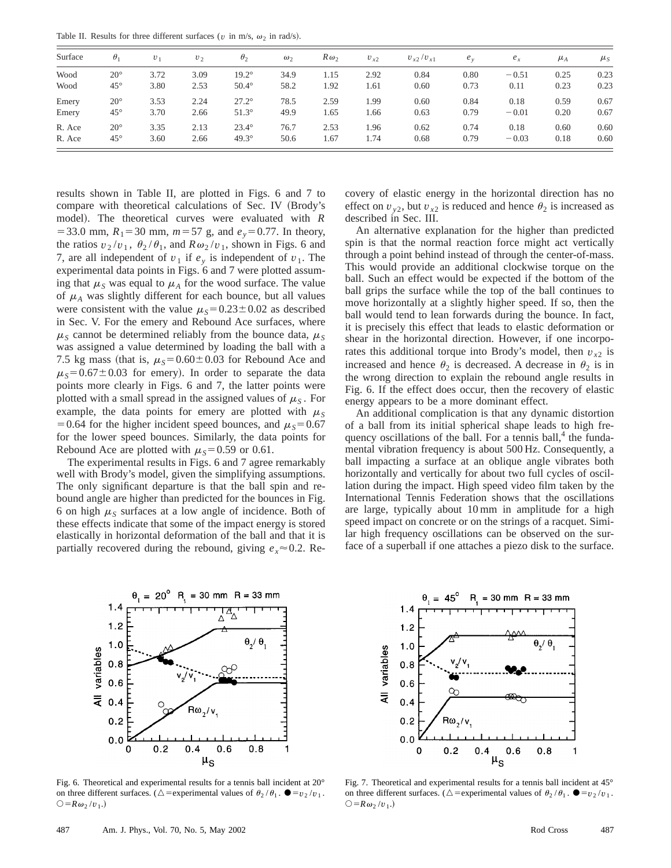Table II. Results for three different surfaces ( $v$  in m/s,  $\omega_2$  in rad/s).

| $\theta_1$   | $U_1$ | $v_2$ | $\theta_2$   | $\omega_{2}$ | $R\omega_2$ | $v_{x2}$ | $v_{x2}/v_{x1}$ | $e_{y}$ | $e_{x}$ | $\mu_A$ | $\mu_{S}$ |
|--------------|-------|-------|--------------|--------------|-------------|----------|-----------------|---------|---------|---------|-----------|
| $20^{\circ}$ | 3.72  | 3.09  | $19.2^\circ$ | 34.9         | 1.15        | 2.92     | 0.84            | 0.80    | $-0.51$ | 0.25    | 0.23      |
| $45^{\circ}$ | 3.80  | 2.53  | $50.4^\circ$ | 58.2         | 1.92        | 1.61     | 0.60            | 0.73    | 0.11    | 0.23    | 0.23      |
| $20^{\circ}$ | 3.53  | 2.24  | $27.2^\circ$ | 78.5         | 2.59        | 1.99     | 0.60            | 0.84    | 0.18    | 0.59    | 0.67      |
| $45^{\circ}$ | 3.70  | 2.66  | $51.3^\circ$ | 49.9         | 1.65        | 1.66     | 0.63            | 0.79    | $-0.01$ | 0.20    | 0.67      |
| $20^{\circ}$ | 3.35  | 2.13  | $23.4^\circ$ | 76.7         | 2.53        | 1.96     | 0.62            | 0.74    | 0.18    | 0.60    | 0.60      |
| $45^{\circ}$ | 3.60  | 2.66  | $49.3^\circ$ | 50.6         | 1.67        | 1.74     | 0.68            | 0.79    | $-0.03$ | 0.18    | 0.60      |
|              |       |       |              |              |             |          |                 |         |         |         |           |

results shown in Table II, are plotted in Figs. 6 and 7 to compare with theoretical calculations of Sec. IV (Brody's model). The theoretical curves were evaluated with *R* = 33.0 mm,  $R_1$  = 30 mm,  $m$  = 57 g, and  $e_y$  = 0.77. In theory, the ratios  $v_2/v_1$ ,  $\theta_2/\theta_1$ , and  $R\omega_2/v_1$ , shown in Figs. 6 and 7, are all independent of  $v_1$  if  $e_y$  is independent of  $v_1$ . The experimental data points in Figs. 6 and 7 were plotted assuming that  $\mu<sub>S</sub>$  was equal to  $\mu<sub>A</sub>$  for the wood surface. The value of  $\mu_A$  was slightly different for each bounce, but all values were consistent with the value  $\mu_s = 0.23 \pm 0.02$  as described in Sec. V. For the emery and Rebound Ace surfaces, where  $\mu<sub>S</sub>$  cannot be determined reliably from the bounce data,  $\mu<sub>S</sub>$ was assigned a value determined by loading the ball with a 7.5 kg mass (that is,  $\mu$ <sub>S</sub>=0.60±0.03 for Rebound Ace and  $\mu$ <sub>S</sub>=0.67 $\pm$ 0.03 for emery). In order to separate the data points more clearly in Figs. 6 and 7, the latter points were plotted with a small spread in the assigned values of  $\mu<sub>S</sub>$ . For example, the data points for emery are plotted with  $\mu<sub>S</sub>$  $=0.64$  for the higher incident speed bounces, and  $\mu_s = 0.67$ for the lower speed bounces. Similarly, the data points for Rebound Ace are plotted with  $\mu$ <sub>S</sub>=0.59 or 0.61.

The experimental results in Figs. 6 and 7 agree remarkably well with Brody's model, given the simplifying assumptions. The only significant departure is that the ball spin and rebound angle are higher than predicted for the bounces in Fig. 6 on high  $\mu<sub>S</sub>$  surfaces at a low angle of incidence. Both of these effects indicate that some of the impact energy is stored elastically in horizontal deformation of the ball and that it is partially recovered during the rebound, giving  $e_x \approx 0.2$ . Recovery of elastic energy in the horizontal direction has no effect on  $v_{v2}$ , but  $v_{x2}$  is reduced and hence  $\theta_2$  is increased as described in Sec. III.

An alternative explanation for the higher than predicted spin is that the normal reaction force might act vertically through a point behind instead of through the center-of-mass. This would provide an additional clockwise torque on the ball. Such an effect would be expected if the bottom of the ball grips the surface while the top of the ball continues to move horizontally at a slightly higher speed. If so, then the ball would tend to lean forwards during the bounce. In fact, it is precisely this effect that leads to elastic deformation or shear in the horizontal direction. However, if one incorporates this additional torque into Brody's model, then  $v_{x2}$  is increased and hence  $\theta_2$  is decreased. A decrease in  $\theta_2$  is in the wrong direction to explain the rebound angle results in Fig. 6. If the effect does occur, then the recovery of elastic energy appears to be a more dominant effect.

An additional complication is that any dynamic distortion of a ball from its initial spherical shape leads to high frequency oscillations of the ball. For a tennis ball, $4$  the fundamental vibration frequency is about 500 Hz. Consequently, a ball impacting a surface at an oblique angle vibrates both horizontally and vertically for about two full cycles of oscillation during the impact. High speed video film taken by the International Tennis Federation shows that the oscillations are large, typically about 10 mm in amplitude for a high speed impact on concrete or on the strings of a racquet. Similar high frequency oscillations can be observed on the surface of a superball if one attaches a piezo disk to the surface.



Fig. 6. Theoretical and experimental results for a tennis ball incident at 20° on three different surfaces. ( $\triangle$  = experimental values of  $\theta_2 / \theta_1$ .  $\bullet = v_2 / v_1$ .  $\bigcirc = R\omega_2 / v_1.$ 



Fig. 7. Theoretical and experimental results for a tennis ball incident at 45° on three different surfaces. ( $\triangle$  = experimental values of  $\theta_2 / \theta_1$ .  $\bullet = v_2 / v_1$ .  $\bigcirc = R\omega_2 / v_1.$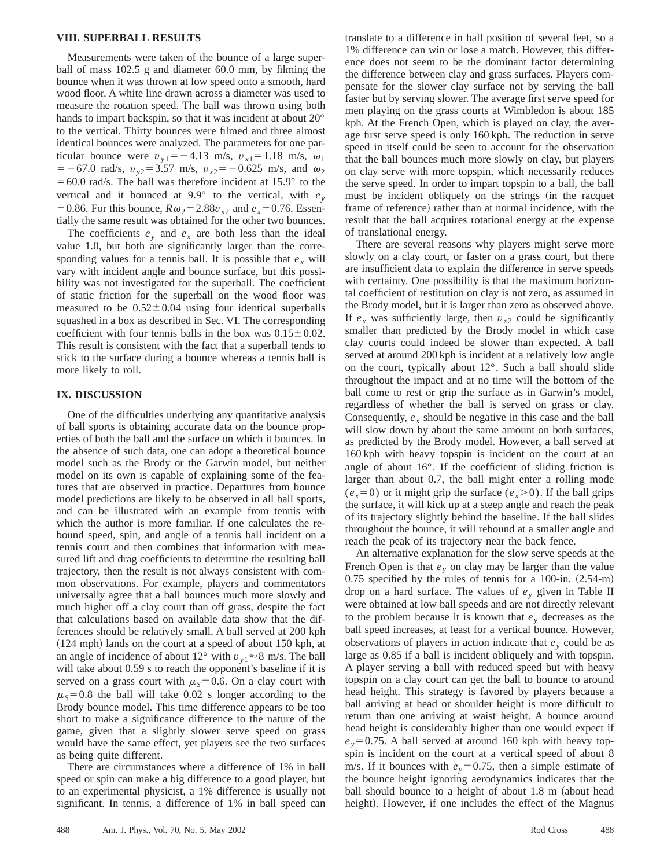## **VIII. SUPERBALL RESULTS**

Measurements were taken of the bounce of a large superball of mass 102.5 g and diameter 60.0 mm, by filming the bounce when it was thrown at low speed onto a smooth, hard wood floor. A white line drawn across a diameter was used to measure the rotation speed. The ball was thrown using both hands to impart backspin, so that it was incident at about 20° to the vertical. Thirty bounces were filmed and three almost identical bounces were analyzed. The parameters for one particular bounce were  $v_{y1} = -4.13$  m/s,  $v_{x1} = 1.18$  m/s,  $\omega_1$  $=$  -67.0 rad/s,  $v_{y2}$ = 3.57 m/s,  $v_{x2}$ = -0.625 m/s, and  $\omega_2$  $=60.0$  rad/s. The ball was therefore incident at 15.9 $\degree$  to the vertical and it bounced at  $9.9^{\circ}$  to the vertical, with  $e_y$ = 0.86. For this bounce,  $R\omega_2$ = 2.88 $v_{x2}$  and  $e_x$ = 0.76. Essentially the same result was obtained for the other two bounces.

The coefficients  $e_y$  and  $e_x$  are both less than the ideal value 1.0, but both are significantly larger than the corresponding values for a tennis ball. It is possible that  $e_x$  will vary with incident angle and bounce surface, but this possibility was not investigated for the superball. The coefficient of static friction for the superball on the wood floor was measured to be  $0.52 \pm 0.04$  using four identical superballs squashed in a box as described in Sec. VI. The corresponding coefficient with four tennis balls in the box was  $0.15 \pm 0.02$ . This result is consistent with the fact that a superball tends to stick to the surface during a bounce whereas a tennis ball is more likely to roll.

#### **IX. DISCUSSION**

One of the difficulties underlying any quantitative analysis of ball sports is obtaining accurate data on the bounce properties of both the ball and the surface on which it bounces. In the absence of such data, one can adopt a theoretical bounce model such as the Brody or the Garwin model, but neither model on its own is capable of explaining some of the features that are observed in practice. Departures from bounce model predictions are likely to be observed in all ball sports, and can be illustrated with an example from tennis with which the author is more familiar. If one calculates the rebound speed, spin, and angle of a tennis ball incident on a tennis court and then combines that information with measured lift and drag coefficients to determine the resulting ball trajectory, then the result is not always consistent with common observations. For example, players and commentators universally agree that a ball bounces much more slowly and much higher off a clay court than off grass, despite the fact that calculations based on available data show that the differences should be relatively small. A ball served at 200 kph  $(124$  mph) lands on the court at a speed of about 150 kph, at an angle of incidence of about 12° with  $v_{y1} \approx 8$  m/s. The ball will take about 0.59 s to reach the opponent's baseline if it is served on a grass court with  $\mu<sub>S</sub>=0.6$ . On a clay court with  $\mu$ <sub>S</sub>=0.8 the ball will take 0.02 s longer according to the Brody bounce model. This time difference appears to be too short to make a significance difference to the nature of the game, given that a slightly slower serve speed on grass would have the same effect, yet players see the two surfaces as being quite different.

There are circumstances where a difference of 1% in ball speed or spin can make a big difference to a good player, but to an experimental physicist, a 1% difference is usually not significant. In tennis, a difference of 1% in ball speed can translate to a difference in ball position of several feet, so a 1% difference can win or lose a match. However, this difference does not seem to be the dominant factor determining the difference between clay and grass surfaces. Players compensate for the slower clay surface not by serving the ball faster but by serving slower. The average first serve speed for men playing on the grass courts at Wimbledon is about 185 kph. At the French Open, which is played on clay, the average first serve speed is only 160 kph. The reduction in serve speed in itself could be seen to account for the observation that the ball bounces much more slowly on clay, but players on clay serve with more topspin, which necessarily reduces the serve speed. In order to impart topspin to a ball, the ball must be incident obliquely on the strings (in the racquet frame of reference) rather than at normal incidence, with the result that the ball acquires rotational energy at the expense of translational energy.

There are several reasons why players might serve more slowly on a clay court, or faster on a grass court, but there are insufficient data to explain the difference in serve speeds with certainty. One possibility is that the maximum horizontal coefficient of restitution on clay is not zero, as assumed in the Brody model, but it is larger than zero as observed above. If  $e_x$  was sufficiently large, then  $v_{x2}$  could be significantly smaller than predicted by the Brody model in which case clay courts could indeed be slower than expected. A ball served at around 200 kph is incident at a relatively low angle on the court, typically about 12°. Such a ball should slide throughout the impact and at no time will the bottom of the ball come to rest or grip the surface as in Garwin's model, regardless of whether the ball is served on grass or clay. Consequently,  $e<sub>x</sub>$  should be negative in this case and the ball will slow down by about the same amount on both surfaces, as predicted by the Brody model. However, a ball served at 160 kph with heavy topspin is incident on the court at an angle of about 16°. If the coefficient of sliding friction is larger than about 0.7, the ball might enter a rolling mode  $(e_x=0)$  or it might grip the surface  $(e_x>0)$ . If the ball grips the surface, it will kick up at a steep angle and reach the peak of its trajectory slightly behind the baseline. If the ball slides throughout the bounce, it will rebound at a smaller angle and reach the peak of its trajectory near the back fence.

An alternative explanation for the slow serve speeds at the French Open is that  $e_y$  on clay may be larger than the value  $0.75$  specified by the rules of tennis for a 100-in.  $(2.54-m)$ drop on a hard surface. The values of *ey* given in Table II were obtained at low ball speeds and are not directly relevant to the problem because it is known that  $e_y$  decreases as the ball speed increases, at least for a vertical bounce. However, observations of players in action indicate that *ey* could be as large as 0.85 if a ball is incident obliquely and with topspin. A player serving a ball with reduced speed but with heavy topspin on a clay court can get the ball to bounce to around head height. This strategy is favored by players because a ball arriving at head or shoulder height is more difficult to return than one arriving at waist height. A bounce around head height is considerably higher than one would expect if  $e_y$ =0.75. A ball served at around 160 kph with heavy topspin is incident on the court at a vertical speed of about 8 m/s. If it bounces with  $e_y = 0.75$ , then a simple estimate of the bounce height ignoring aerodynamics indicates that the ball should bounce to a height of about  $1.8~\text{m}$  (about head height). However, if one includes the effect of the Magnus